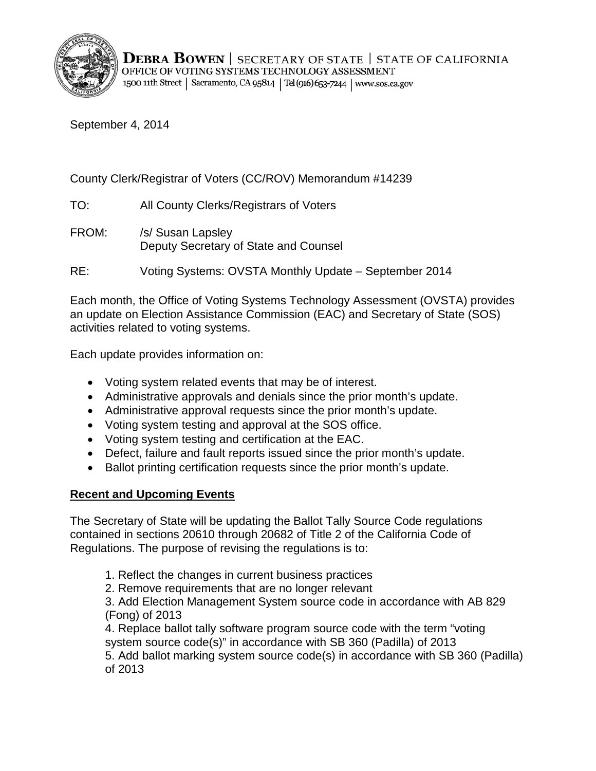

September 4, 2014

County Clerk/Registrar of Voters (CC/ROV) Memorandum #14239

TO: All County Clerks/Registrars of Voters

FROM: /s/ Susan Lapsley Deputy Secretary of State and Counsel

RE: Voting Systems: OVSTA Monthly Update – September 2014

Each month, the Office of Voting Systems Technology Assessment (OVSTA) provides an update on Election Assistance Commission (EAC) and Secretary of State (SOS) activities related to voting systems.

Each update provides information on:

- Voting system related events that may be of interest.
- Administrative approvals and denials since the prior month's update.
- Administrative approval requests since the prior month's update.
- Voting system testing and approval at the SOS office.
- Voting system testing and certification at the EAC.
- Defect, failure and fault reports issued since the prior month's update.
- Ballot printing certification requests since the prior month's update.

# **Recent and Upcoming Events**

The Secretary of State will be updating the Ballot Tally Source Code regulations contained in sections 20610 through 20682 of Title 2 of the California Code of Regulations. The purpose of revising the regulations is to:

- 1. Reflect the changes in current business practices
- 2. Remove requirements that are no longer relevant

3. Add Election Management System source code in accordance with AB 829 (Fong) of 2013

4. Replace ballot tally software program source code with the term "voting system source code(s)" in accordance with SB 360 (Padilla) of 2013 5. Add ballot marking system source code(s) in accordance with SB 360 (Padilla) of 2013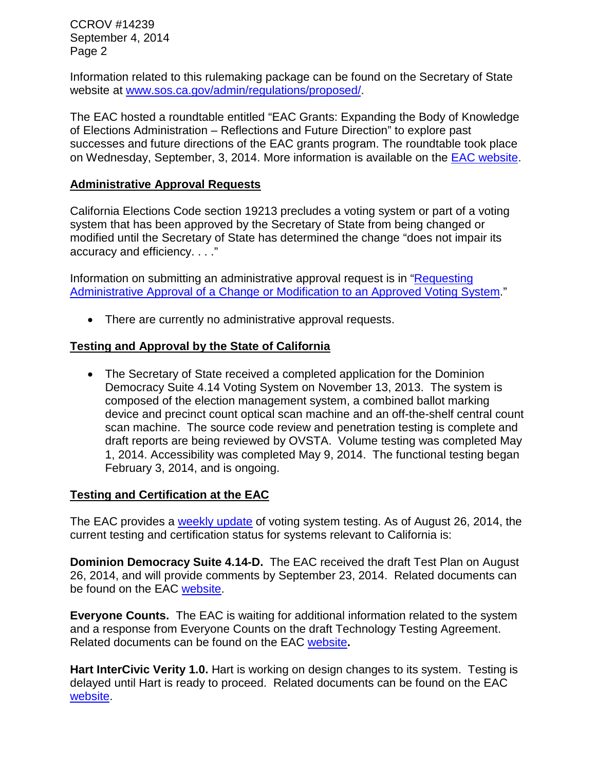CCROV #14239 September 4, 2014 Page 2

Information related to this rulemaking package can be found on the Secretary of State website at [www.sos.ca.gov/admin/regulations/proposed/.](http://www.sos.ca.gov/admin/regulations/proposed/)

The EAC hosted a roundtable entitled "EAC Grants: Expanding the Body of Knowledge of Elections Administration – Reflections and Future Direction" to explore past successes and future directions of the EAC grants program. The roundtable took place on Wednesday, September, 3, 2014. More information is available on the [EAC website.](http://www.eac.gov/eac_grants_expanding_the_body_of_knowledge_of_election_administration_%E2%80%93_reflections_and_future_dire/)

#### **Administrative Approval Requests**

California Elections Code section 19213 precludes a voting system or part of a voting system that has been approved by the Secretary of State from being changed or modified until the Secretary of State has determined the change "does not impair its accuracy and efficiency. . . ."

Information on submitting an administrative approval request is in ["Requesting](http://www.sos.ca.gov/voting-systems/cert-and-approval/vsysapproval/admin-approval-requirements2012.pdf)  [Administrative Approval of a Change or Modification to an Approved Voting System.](http://www.sos.ca.gov/voting-systems/cert-and-approval/vsysapproval/admin-approval-requirements2012.pdf)"

• There are currently no administrative approval requests.

### **Testing and Approval by the State of California**

• The Secretary of State received a completed application for the Dominion Democracy Suite 4.14 Voting System on November 13, 2013. The system is composed of the election management system, a combined ballot marking device and precinct count optical scan machine and an off-the-shelf central count scan machine. The source code review and penetration testing is complete and draft reports are being reviewed by OVSTA. Volume testing was completed May 1, 2014. Accessibility was completed May 9, 2014. The functional testing began February 3, 2014, and is ongoing.

#### **Testing and Certification at the EAC**

The EAC provides a [weekly update](http://www.eac.gov/blogs/voting_system_testing_update_82614/) of voting system testing. As of August 26, 2014, the current testing and certification status for systems relevant to California is:

**Dominion Democracy Suite 4.14-D.** The EAC received the draft Test Plan on August 26, 2014, and will provide comments by September 23, 2014. Related documents can be found on the EAC [website.](http://www.eac.gov/testing_and_certification/voting_systems_under_test.aspx)

**Everyone Counts.** The EAC is waiting for additional information related to the system and a response from Everyone Counts on the draft Technology Testing Agreement. Related documents can be found on the EAC [website](http://www.eac.gov/testing_and_certification/voting_systems_under_test.aspx)**.**

**Hart InterCivic Verity 1.0.** Hart is working on design changes to its system. Testing is delayed until Hart is ready to proceed. Related documents can be found on the EAC [website.](http://www.eac.gov/testing_and_certification/voting_systems_under_test.aspx)